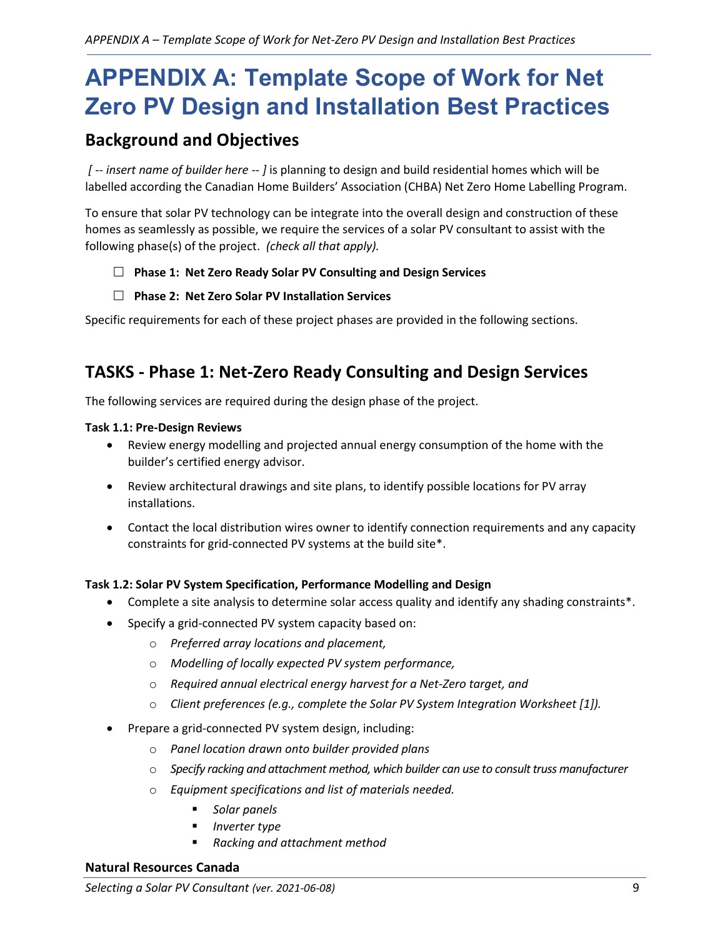# **APPENDIX A: Template Scope of Work for Net Zero PV Design and Installation Best Practices**

# **Background and Objectives**

*[ -- insert name of builder here -- ]* is planning to design and build residential homes which will be labelled according the Canadian Home Builders' Association (CHBA) Net Zero Home Labelling Program.

To ensure that solar PV technology can be integrate into the overall design and construction of these homes as seamlessly as possible, we require the services of a solar PV consultant to assist with the following phase(s) of the project. *(check all that apply).*

- **Phase 1: Net Zero Ready Solar PV Consulting and Design Services**
- **Phase 2: Net Zero Solar PV Installation Services**

Specific requirements for each of these project phases are provided in the following sections.

# **TASKS - Phase 1: Net-Zero Ready Consulting and Design Services**

The following services are required during the design phase of the project.

### **Task 1.1: Pre-Design Reviews**

- Review energy modelling and projected annual energy consumption of the home with the builder's certified energy advisor.
- Review architectural drawings and site plans, to identify possible locations for PV array installations.
- Contact the local distribution wires owner to identify connection requirements and any capacity constraints for grid-connected PV systems at the build site\*.

# **Task 1.2: Solar PV System Specification, Performance Modelling and Design**

- Complete a site analysis to determine solar access quality and identify any shading constraints\*.
- Specify a grid-connected PV system capacity based on:
	- o *Preferred array locations and placement,*
	- o *Modelling of locally expected PV system performance,*
	- o *Required annual electrical energy harvest for a Net-Zero target, and*
	- o *Client preferences (e.g., complete the Solar PV System Integration Worksheet [1]).*
- Prepare a grid-connected PV system design, including:
	- o *Panel location drawn onto builder provided plans*
	- o *Specify racking and attachment method, which builder can use to consult truss manufacturer*
	- o *Equipment specifications and list of materials needed.* 
		- *Solar panels*
		- *Inverter type*
		- *Racking and attachment method*

### **Natural Resources Canada**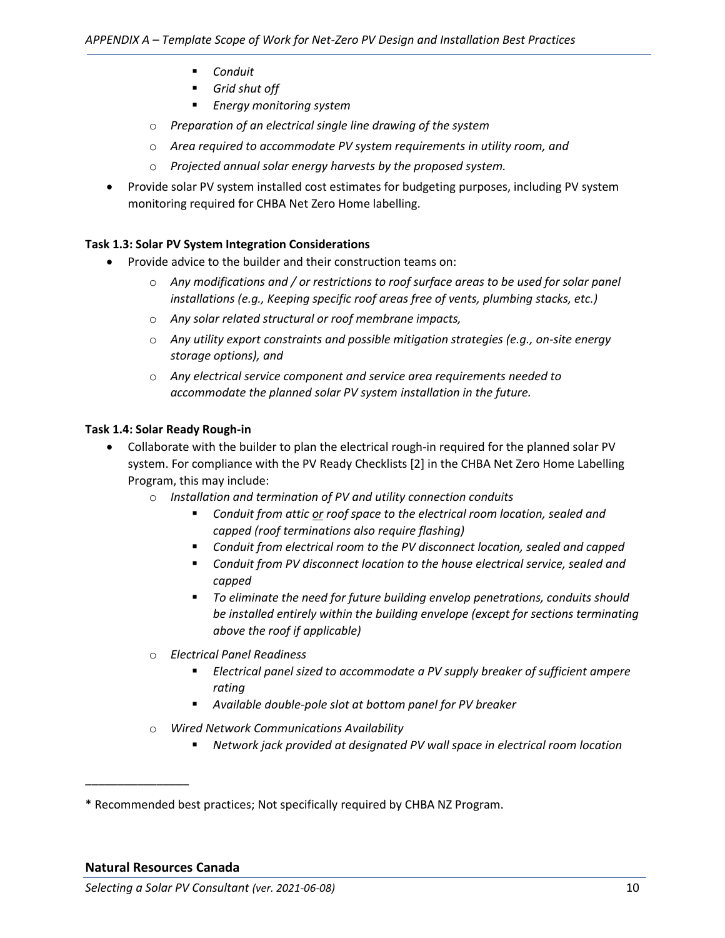- *Conduit*
- *Grid shut off*
- *Energy monitoring system*
- o *Preparation of an electrical single line drawing of the system*
- o *Area required to accommodate PV system requirements in utility room, and*
- o *Projected annual solar energy harvests by the proposed system.*
- Provide solar PV system installed cost estimates for budgeting purposes, including PV system monitoring required for CHBA Net Zero Home labelling.

### **Task 1.3: Solar PV System Integration Considerations**

- Provide advice to the builder and their construction teams on:
	- o *Any modifications and / or restrictions to roof surface areas to be used for solar panel installations (e.g., Keeping specific roof areas free of vents, plumbing stacks, etc.)*
	- o *Any solar related structural or roof membrane impacts,*
	- o *Any utility export constraints and possible mitigation strategies (e.g., on-site energy storage options), and*
	- o *Any electrical service component and service area requirements needed to accommodate the planned solar PV system installation in the future.*

### **Task 1.4: Solar Ready Rough-in**

- Collaborate with the builder to plan the electrical rough-in required for the planned solar PV system. For compliance with the PV Ready Checklists [2] in the CHBA Net Zero Home Labelling Program, this may include:
	- o *Installation and termination of PV and utility connection conduits* 
		- *Conduit from attic or roof space to the electrical room location, sealed and capped (roof terminations also require flashing)*
		- *Conduit from electrical room to the PV disconnect location, sealed and capped*
		- *Conduit from PV disconnect location to the house electrical service, sealed and capped*
		- *To eliminate the need for future building envelop penetrations, conduits should be installed entirely within the building envelope (except for sections terminating above the roof if applicable)*
	- o *Electrical Panel Readiness* 
		- *Electrical panel sized to accommodate a PV supply breaker of sufficient ampere rating*
		- *Available double-pole slot at bottom panel for PV breaker*
	- o *Wired Network Communications Availability* 
		- *Network jack provided at designated PV wall space in electrical room location*

\_\_\_\_\_\_\_\_\_\_\_\_\_\_\_\_

<sup>\*</sup> Recommended best practices; Not specifically required by CHBA NZ Program.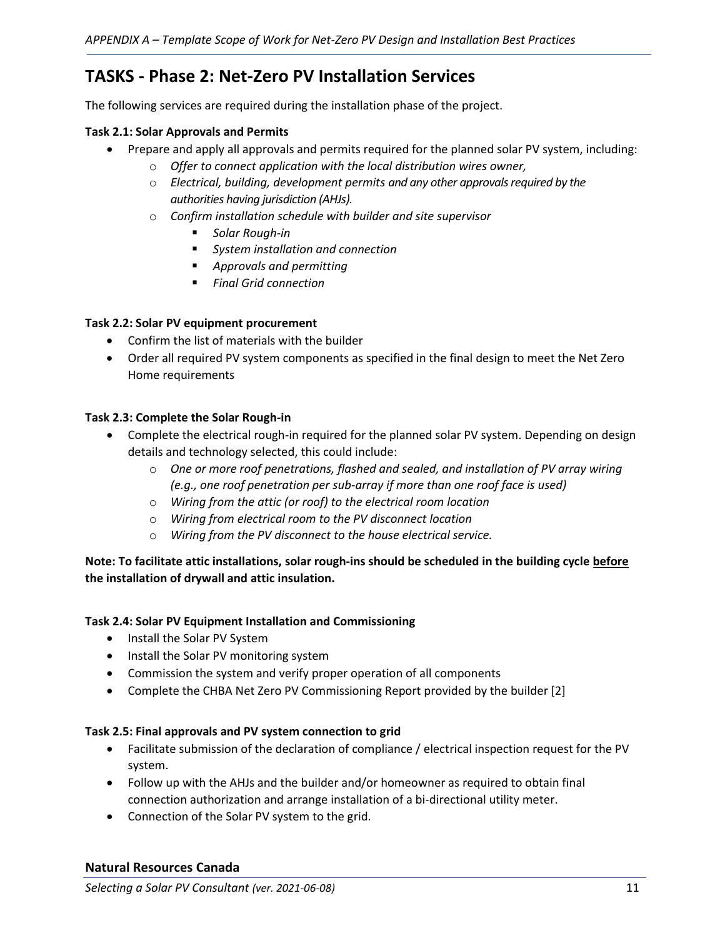# **TASKS - Phase 2: Net-Zero PV Installation Services**

The following services are required during the installation phase of the project.

#### **Task 2.1: Solar Approvals and Permits**

- Prepare and apply all approvals and permits required for the planned solar PV system, including:
	- o *Offer to connect application with the local distribution wires owner,*
	- o *Electrical, building, development permits and any other approvals required by the authorities having jurisdiction (AHJs).*
	- o *Confirm installation schedule with builder and site supervisor* 
		- *Solar Rough-in*
		- *System installation and connection*
		- *Approvals and permitting*
		- *Final Grid connection*

#### **Task 2.2: Solar PV equipment procurement**

- Confirm the list of materials with the builder
- Order all required PV system components as specified in the final design to meet the Net Zero Home requirements

#### **Task 2.3: Complete the Solar Rough-in**

- Complete the electrical rough-in required for the planned solar PV system. Depending on design details and technology selected, this could include:
	- o *One or more roof penetrations, flashed and sealed, and installation of PV array wiring (e.g., one roof penetration per sub-array if more than one roof face is used)*
	- o *Wiring from the attic (or roof) to the electrical room location*
	- o *Wiring from electrical room to the PV disconnect location*
	- o *Wiring from the PV disconnect to the house electrical service.*

# **Note: To facilitate attic installations, solar rough-ins should be scheduled in the building cycle before the installation of drywall and attic insulation.**

### **Task 2.4: Solar PV Equipment Installation and Commissioning**

- Install the Solar PV System
- Install the Solar PV monitoring system
- Commission the system and verify proper operation of all components
- Complete the CHBA Net Zero PV Commissioning Report provided by the builder [2]

### **Task 2.5: Final approvals and PV system connection to grid**

- Facilitate submission of the declaration of compliance / electrical inspection request for the PV system.
- Follow up with the AHJs and the builder and/or homeowner as required to obtain final connection authorization and arrange installation of a bi-directional utility meter.
- Connection of the Solar PV system to the grid.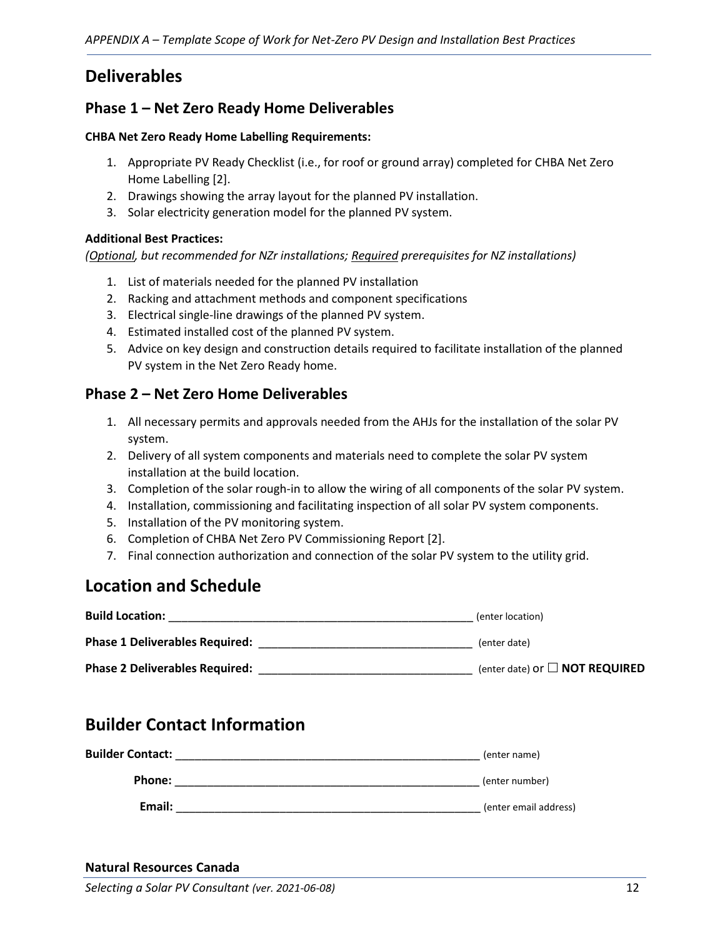# **Deliverables**

# **Phase 1 – Net Zero Ready Home Deliverables**

#### **CHBA Net Zero Ready Home Labelling Requirements:**

- 1. Appropriate PV Ready Checklist (i.e., for roof or ground array) completed for CHBA Net Zero Home Labelling [2].
- 2. Drawings showing the array layout for the planned PV installation.
- 3. Solar electricity generation model for the planned PV system.

### **Additional Best Practices:**

*(Optional, but recommended for NZr installations; Required prerequisites for NZ installations)*

- 1. List of materials needed for the planned PV installation
- 2. Racking and attachment methods and component specifications
- 3. Electrical single-line drawings of the planned PV system.
- 4. Estimated installed cost of the planned PV system.
- 5. Advice on key design and construction details required to facilitate installation of the planned PV system in the Net Zero Ready home.

# **Phase 2 – Net Zero Home Deliverables**

- 1. All necessary permits and approvals needed from the AHJs for the installation of the solar PV system.
- 2. Delivery of all system components and materials need to complete the solar PV system installation at the build location.
- 3. Completion of the solar rough-in to allow the wiring of all components of the solar PV system.
- 4. Installation, commissioning and facilitating inspection of all solar PV system components.
- 5. Installation of the PV monitoring system.
- 6. Completion of CHBA Net Zero PV Commissioning Report [2].
- 7. Final connection authorization and connection of the solar PV system to the utility grid.

# **Location and Schedule**

| <b>Build Location:</b>                | (enter location)                           |
|---------------------------------------|--------------------------------------------|
| Phase 1 Deliverables Required:        | (enter date)                               |
| <b>Phase 2 Deliverables Required:</b> | (enter date) or $\Box$ <b>NOT REQUIRED</b> |

# **Builder Contact Information**

| <b>Builder Contact:</b> | (enter name)          |
|-------------------------|-----------------------|
| Phone:                  | (enter number)        |
| Email:                  | (enter email address) |